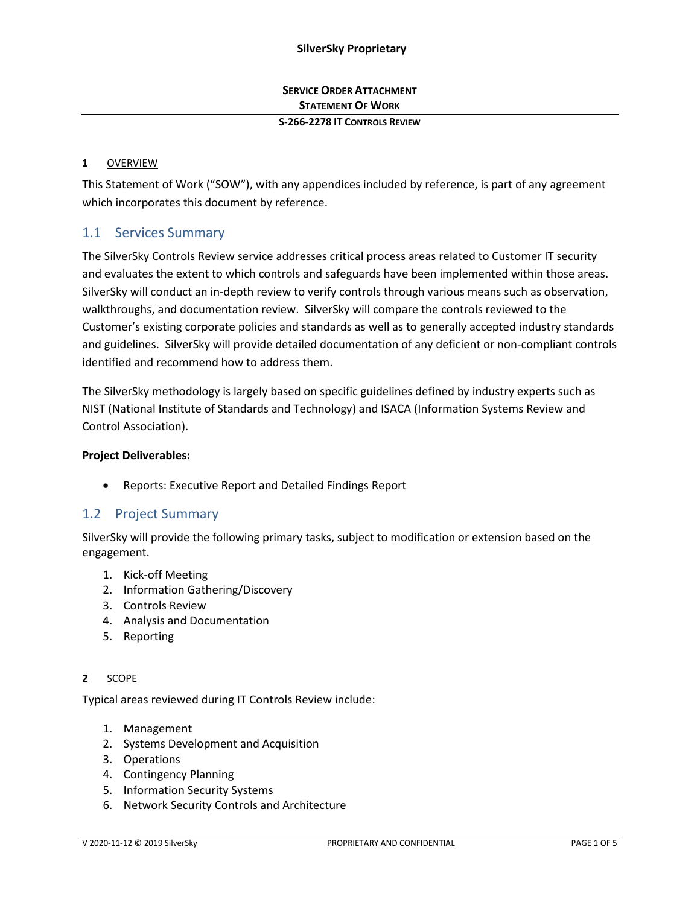# **SERVICE ORDER ATTACHMENT STATEMENT OF WORK**

### **S-266-2278 IT CONTROLS REVIEW**

#### **1** OVERVIEW

This Statement of Work ("SOW"), with any appendices included by reference, is part of any agreement which incorporates this document by reference.

# 1.1 Services Summary

The SilverSky Controls Review service addresses critical process areas related to Customer IT security and evaluates the extent to which controls and safeguards have been implemented within those areas. SilverSky will conduct an in-depth review to verify controls through various means such as observation, walkthroughs, and documentation review. SilverSky will compare the controls reviewed to the Customer's existing corporate policies and standards as well as to generally accepted industry standards and guidelines. SilverSky will provide detailed documentation of any deficient or non-compliant controls identified and recommend how to address them.

The SilverSky methodology is largely based on specific guidelines defined by industry experts such as NIST (National Institute of Standards and Technology) and ISACA (Information Systems Review and Control Association).

#### **Project Deliverables:**

• Reports: Executive Report and Detailed Findings Report

#### 1.2 Project Summary

SilverSky will provide the following primary tasks, subject to modification or extension based on the engagement.

- 1. Kick-off Meeting
- 2. Information Gathering/Discovery
- 3. Controls Review
- 4. Analysis and Documentation
- 5. Reporting

#### **2** SCOPE

Typical areas reviewed during IT Controls Review include:

- 1. Management
- 2. Systems Development and Acquisition
- 3. Operations
- 4. Contingency Planning
- 5. Information Security Systems
- 6. Network Security Controls and Architecture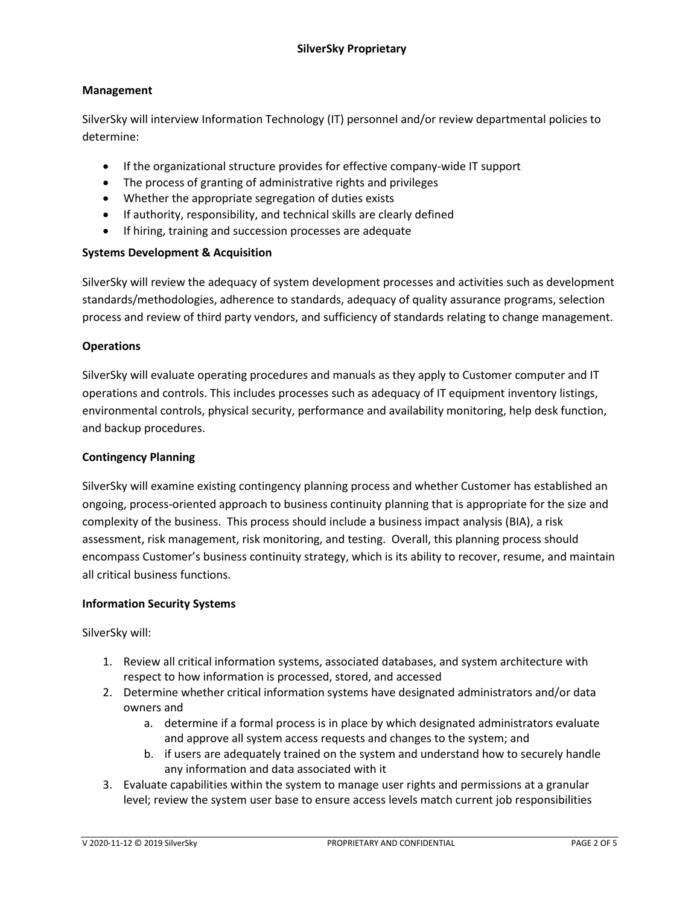#### **Management**

SilverSky will interview Information Technology (IT) personnel and/or review departmental policies to determine:

- If the organizational structure provides for effective company-wide IT support
- The process of granting of administrative rights and privileges
- Whether the appropriate segregation of duties exists
- If authority, responsibility, and technical skills are clearly defined
- If hiring, training and succession processes are adequate

#### **Systems Development & Acquisition**

SilverSky will review the adequacy of system development processes and activities such as development standards/methodologies, adherence to standards, adequacy of quality assurance programs, selection process and review of third party vendors, and sufficiency of standards relating to change management.

#### **Operations**

SilverSky will evaluate operating procedures and manuals as they apply to Customer computer and IT operations and controls. This includes processes such as adequacy of IT equipment inventory listings, environmental controls, physical security, performance and availability monitoring, help desk function, and backup procedures.

#### **Contingency Planning**

SilverSky will examine existing contingency planning process and whether Customer has established an ongoing, process-oriented approach to business continuity planning that is appropriate for the size and complexity of the business. This process should include a business impact analysis (BIA), a risk assessment, risk management, risk monitoring, and testing. Overall, this planning process should encompass Customer's business continuity strategy, which is its ability to recover, resume, and maintain all critical business functions.

#### **Information Security Systems**

SilverSky will:

- 1. Review all critical information systems, associated databases, and system architecture with respect to how information is processed, stored, and accessed
- 2. Determine whether critical information systems have designated administrators and/or data owners and
	- a. determine if a formal process is in place by which designated administrators evaluate and approve all system access requests and changes to the system; and
	- b. if users are adequately trained on the system and understand how to securely handle any information and data associated with it
- 3. Evaluate capabilities within the system to manage user rights and permissions at a granular level; review the system user base to ensure access levels match current job responsibilities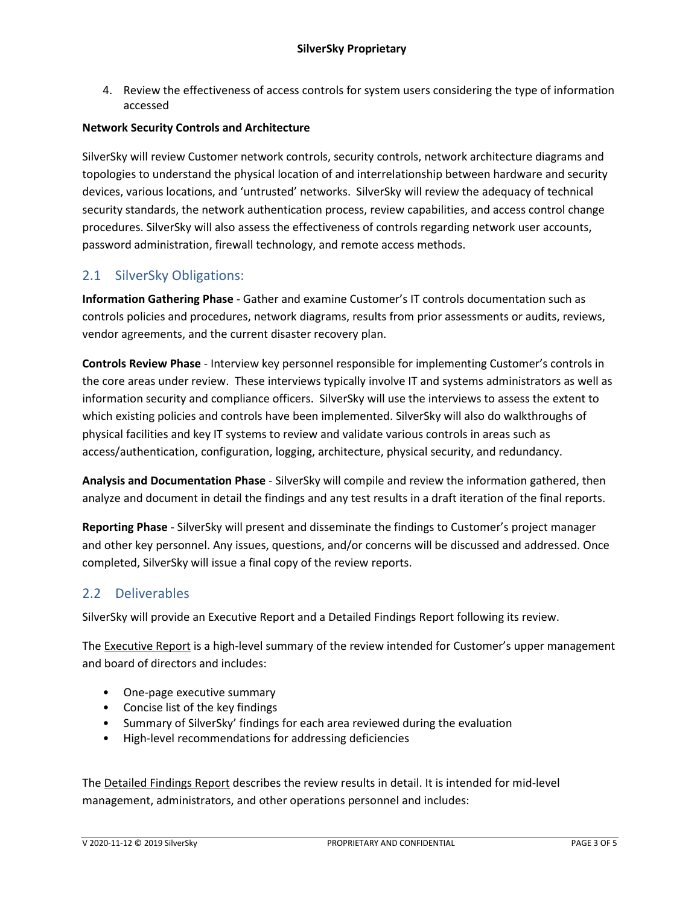4. Review the effectiveness of access controls for system users considering the type of information accessed

#### **Network Security Controls and Architecture**

SilverSky will review Customer network controls, security controls, network architecture diagrams and topologies to understand the physical location of and interrelationship between hardware and security devices, various locations, and 'untrusted' networks. SilverSky will review the adequacy of technical security standards, the network authentication process, review capabilities, and access control change procedures. SilverSky will also assess the effectiveness of controls regarding network user accounts, password administration, firewall technology, and remote access methods.

# 2.1 SilverSky Obligations:

**Information Gathering Phase** - Gather and examine Customer's IT controls documentation such as controls policies and procedures, network diagrams, results from prior assessments or audits, reviews, vendor agreements, and the current disaster recovery plan.

**Controls Review Phase** - Interview key personnel responsible for implementing Customer's controls in the core areas under review. These interviews typically involve IT and systems administrators as well as information security and compliance officers. SilverSky will use the interviews to assess the extent to which existing policies and controls have been implemented. SilverSky will also do walkthroughs of physical facilities and key IT systems to review and validate various controls in areas such as access/authentication, configuration, logging, architecture, physical security, and redundancy.

**Analysis and Documentation Phase** - SilverSky will compile and review the information gathered, then analyze and document in detail the findings and any test results in a draft iteration of the final reports.

**Reporting Phase** - SilverSky will present and disseminate the findings to Customer's project manager and other key personnel. Any issues, questions, and/or concerns will be discussed and addressed. Once completed, SilverSky will issue a final copy of the review reports.

# 2.2 Deliverables

SilverSky will provide an Executive Report and a Detailed Findings Report following its review.

The Executive Report is a high-level summary of the review intended for Customer's upper management and board of directors and includes:

- One-page executive summary
- Concise list of the key findings
- Summary of SilverSky' findings for each area reviewed during the evaluation
- High-level recommendations for addressing deficiencies

The Detailed Findings Report describes the review results in detail. It is intended for mid-level management, administrators, and other operations personnel and includes: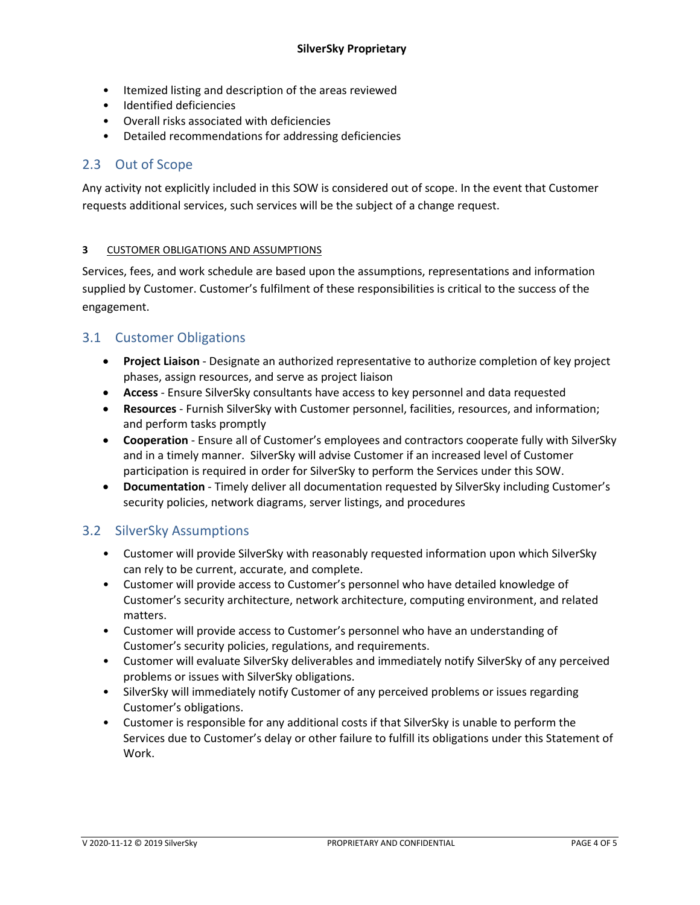- Itemized listing and description of the areas reviewed
- Identified deficiencies
- Overall risks associated with deficiencies
- Detailed recommendations for addressing deficiencies

# 2.3 Out of Scope

Any activity not explicitly included in this SOW is considered out of scope. In the event that Customer requests additional services, such services will be the subject of a change request.

#### **3** CUSTOMER OBLIGATIONS AND ASSUMPTIONS

Services, fees, and work schedule are based upon the assumptions, representations and information supplied by Customer. Customer's fulfilment of these responsibilities is critical to the success of the engagement.

# 3.1 Customer Obligations

- **Project Liaison** Designate an authorized representative to authorize completion of key project phases, assign resources, and serve as project liaison
- **Access**  Ensure SilverSky consultants have access to key personnel and data requested
- **Resources** Furnish SilverSky with Customer personnel, facilities, resources, and information; and perform tasks promptly
- **Cooperation** Ensure all of Customer's employees and contractors cooperate fully with SilverSky and in a timely manner. SilverSky will advise Customer if an increased level of Customer participation is required in order for SilverSky to perform the Services under this SOW.
- **Documentation** Timely deliver all documentation requested by SilverSky including Customer's security policies, network diagrams, server listings, and procedures

# 3.2 SilverSky Assumptions

- Customer will provide SilverSky with reasonably requested information upon which SilverSky can rely to be current, accurate, and complete.
- Customer will provide access to Customer's personnel who have detailed knowledge of Customer's security architecture, network architecture, computing environment, and related matters.
- Customer will provide access to Customer's personnel who have an understanding of Customer's security policies, regulations, and requirements.
- Customer will evaluate SilverSky deliverables and immediately notify SilverSky of any perceived problems or issues with SilverSky obligations.
- SilverSky will immediately notify Customer of any perceived problems or issues regarding Customer's obligations.
- Customer is responsible for any additional costs if that SilverSky is unable to perform the Services due to Customer's delay or other failure to fulfill its obligations under this Statement of Work.